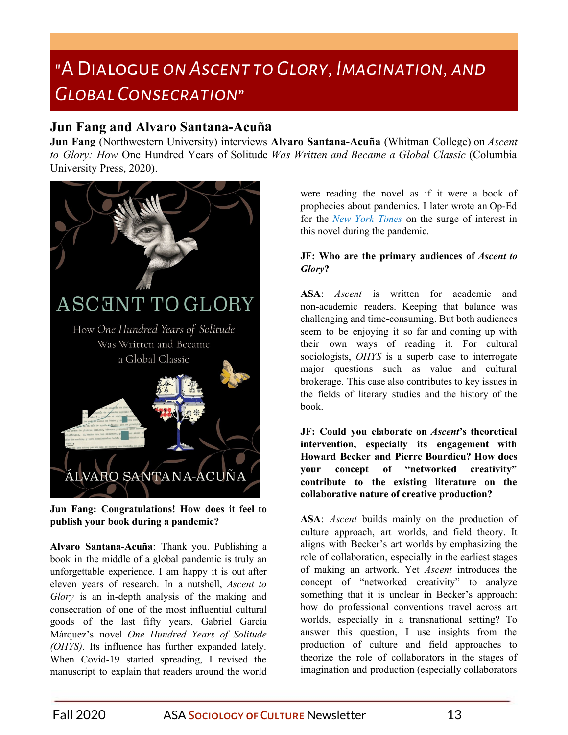# "A Dialogue *on Ascent to Glory, Imagination, and Global Consecration*"

# **Jun Fang and Alvaro Santana-Acuñ a**

**Jun Fang** (Northwestern University) interviews **Alvaro Santana-Acuña** (Whitman College) on *Ascent to Glory: How* One Hundred Years of Solitude *Was Written and Became a Global Classic* (Columbia University Press, 2020).



**Jun Fang: Congratulations! How does it feel to publish your book during a pandemic?**

**Alvaro Santana-Acuña**: Thank you. Publishing a book in the middle of a global pandemic is truly an unforgettable experience. I am happy it is out after eleven years of research. In a nutshell, *Ascent to Glory* is an in-depth analysis of the making and consecration of one of the most influential cultural goods of the last fifty years, Gabriel García Márquez's novel *One Hundred Years of Solitude (OHYS)*. Its influence has further expanded lately. When Covid-19 started spreading, I revised the manuscript to explain that readers around the world were reading the novel as if it were a book of prophecies about pandemics. I later wrote an Op-Ed for the *New York [Times](https://www.nytimes.com/es/2020/06/24/espanol/opinion/covid-garcia-marquez-peste.html)* on the surge of interest in this no[v](https://www.nytimes.com/es/2020/06/24/espanol/opinion/covid-garcia-marquez-peste.html)el during the pandemic.

# **JF: Who are the primary audiences of** *Ascent to Glory***?**

**ASA**: *Ascent* is written for academic and non-academic readers. Keeping that balance was challenging and time-consuming. But both audiences seem to be enjoying it so far and coming up with their own ways of reading it. For cultural sociologists, *OHYS* is a superb case to interrogate major questions such as value and cultural brokerage. This case also contributes to key issues in the fields of literary studies and the history of the book.

**JF: Could you elaborate on** *Ascent***'s theoretical intervention, especially its engagement with Howard Becker and Pierre Bourdieu? How does your concept of "networked creativity" contribute to the existing literature on the collaborative nature of creative production?**

**ASA**: *Ascent* builds mainly on the production of culture approach, art worlds, and field theory. It aligns with Becker's art worlds by emphasizing the role of collaboration, especially in the earliest stages of making an artwork. Yet *Ascent* introduces the concept of "networked creativity" to analyze something that it is unclear in Becker's approach: how do professional conventions travel across art worlds, especially in a transnational setting? To answer this question, I use insights from the production of culture and field approaches to theorize the role of collaborators in the stages of imagination and production (especially collaborators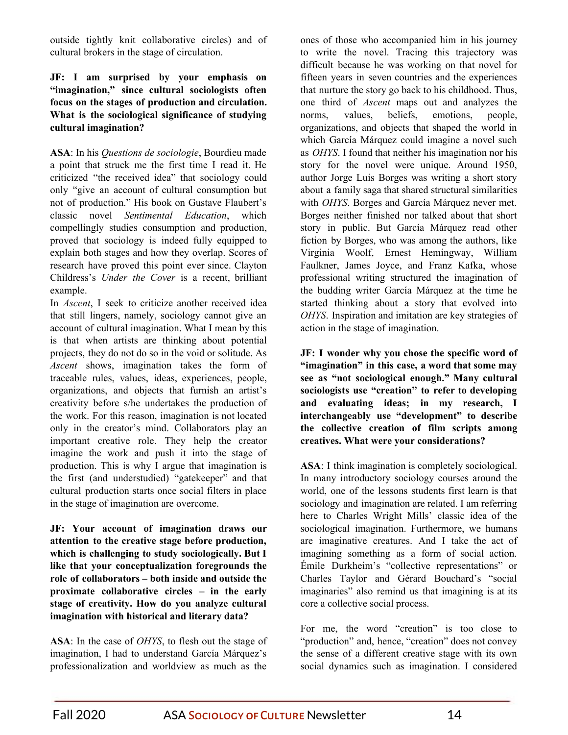outside tightly knit collaborative circles) and of cultural brokers in the stage of circulation.

#### **JF: I am surprised by your emphasis on "imagination," since cultural sociologists often focus on the stages of production and circulation. What is the sociological significance of studying cultural imagination?**

**ASA**: In his *Questions de sociologie*, Bourdieu made a point that struck me the first time I read it. He criticized "the received idea" that sociology could only "give an account of cultural consumption but not of production." His book on Gustave Flaubert's classic novel *Sentimental Education*, which compellingly studies consumption and production, proved that sociology is indeed fully equipped to explain both stages and how they overlap. Scores of research have proved this point ever since. Clayton Childress's *Under the Cover* is a recent, brilliant example.

In *Ascent*, I seek to criticize another received idea that still lingers, namely, sociology cannot give an account of cultural imagination. What I mean by this is that when artists are thinking about potential projects, they do not do so in the void or solitude. As *Ascent* shows, imagination takes the form of traceable rules, values, ideas, experiences, people, organizations, and objects that furnish an artist's creativity before s/he undertakes the production of the work. For this reason, imagination is not located only in the creator's mind. Collaborators play an important creative role. They help the creator imagine the work and push it into the stage of production. This is why I argue that imagination is the first (and understudied) "gatekeeper" and that cultural production starts once social filters in place in the stage of imagination are overcome.

**JF: Your account of imagination draws our attention to the creative stage before production, which is challenging to study sociologically. But I like that your conceptualization foregrounds the role of collaborators – both inside and outside the proximate collaborative circles – in the early stage of creativity. How do you analyze cultural imagination with historical and literary data?**

**ASA**: In the case of *OHYS*, to flesh out the stage of imagination, I had to understand García Márquez's professionalization and worldview as much as the ones of those who accompanied him in his journey to write the novel. Tracing this trajectory was difficult because he was working on that novel for fifteen years in seven countries and the experiences that nurture the story go back to his childhood. Thus, one third of *Ascent* maps out and analyzes the norms, values, beliefs, emotions, people, organizations, and objects that shaped the world in which García Márquez could imagine a novel such as *OHYS*. I found that neither his imagination nor his story for the novel were unique. Around 1950, author Jorge Luis Borges was writing a short story about a family saga that shared structural similarities with *OHYS*. Borges and García Márquez never met. Borges neither finished nor talked about that short story in public. But García Márquez read other fiction by Borges, who was among the authors, like Virginia Woolf, Ernest Hemingway, William Faulkner, James Joyce, and Franz Kafka, whose professional writing structured the imagination of the budding writer García Márquez at the time he started thinking about a story that evolved into *OHYS*. Inspiration and imitation are key strategies of action in the stage of imagination.

**JF: I wonder why you chose the specific word of "imagination" in this case, a word that some may see as "not sociological enough." Many cultural sociologists use "creation" to refer to developing and evaluating ideas; in my research, I interchangeably use "development" to describe the collective creation of film scripts among creatives. What were your considerations?**

**ASA**: I think imagination is completely sociological. In many introductory sociology courses around the world, one of the lessons students first learn is that sociology and imagination are related. I am referring here to Charles Wright Mills' classic idea of the sociological imagination. Furthermore, we humans are imaginative creatures. And I take the act of imagining something as a form of social action. Émile Durkheim's "collective representations" or Charles Taylor and Gérard Bouchard's "social imaginaries" also remind us that imagining is at its core a collective social process.

For me, the word "creation" is too close to "production" and, hence, "creation" does not convey the sense of a different creative stage with its own social dynamics such as imagination. I considered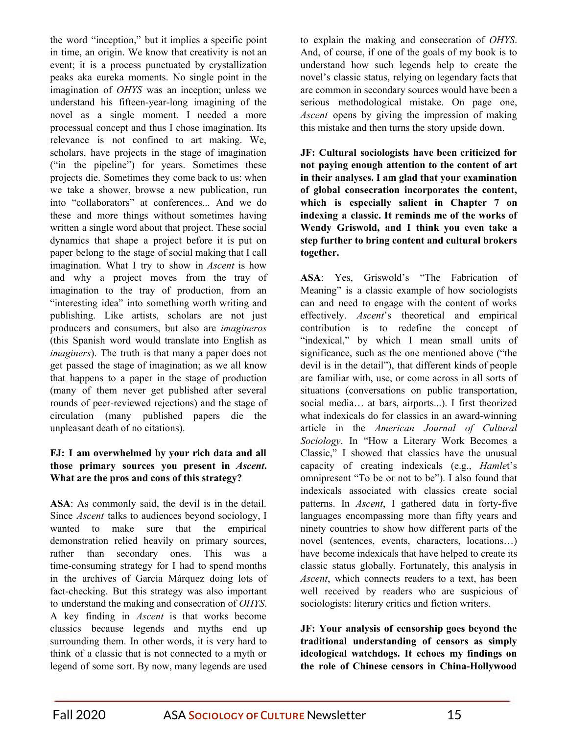the word "inception," but it implies a specific point in time, an origin. We know that creativity is not an event; it is a process punctuated by crystallization peaks aka eureka moments. No single point in the imagination of *OHYS* was an inception; unless we understand his fifteen-year-long imagining of the novel as a single moment. I needed a more processual concept and thus I chose imagination. Its relevance is not confined to art making. We, scholars, have projects in the stage of imagination ("in the pipeline") for years. Sometimes these projects die. Sometimes they come back to us: when we take a shower, browse a new publication, run into "collaborators" at conferences... And we do these and more things without sometimes having written a single word about that project. These social dynamics that shape a project before it is put on paper belong to the stage of social making that I call imagination. What I try to show in *Ascent* is how and why a project moves from the tray of imagination to the tray of production, from an "interesting idea" into something worth writing and publishing. Like artists, scholars are not just producers and consumers, but also are *imagineros* (this Spanish word would translate into English as *imaginers*). The truth is that many a paper does not get passed the stage of imagination; as we all know that happens to a paper in the stage of production (many of them never get published after several rounds of peer-reviewed rejections) and the stage of circulation (many published papers die the unpleasant death of no citations).

## **FJ: I am overwhelmed by your rich data and all those primary sources you present in** *Ascent***. What are the pros and cons of this strategy?**

**ASA**: As commonly said, the devil is in the detail. Since *Ascent* talks to audiences beyond sociology, I wanted to make sure that the empirical demonstration relied heavily on primary sources, rather than secondary ones. This was a time-consuming strategy for I had to spend months in the archives of García Márquez doing lots of fact-checking. But this strategy was also important to understand the making and consecration of *OHYS*. A key finding in *Ascent* is that works become classics because legends and myths end up surrounding them. In other words, it is very hard to think of a classic that is not connected to a myth or legend of some sort. By now, many legends are used to explain the making and consecration of *OHYS*. And, of course, if one of the goals of my book is to understand how such legends help to create the novel's classic status, relying on legendary facts that are common in secondary sources would have been a serious methodological mistake. On page one, *Ascent* opens by giving the impression of making this mistake and then turns the story upside down.

**JF: Cultural sociologists have been criticized for not paying enough attention to the content of art in their analyses. I am glad that your examination of global consecration incorporates the content, which is especially salient in Chapter 7 on indexing a classic. It reminds me of the works of Wendy Griswold, and I think you even take a step further to bring content and cultural brokers together.**

**ASA**: Yes, Griswold's "The Fabrication of Meaning" is a classic example of how sociologists can and need to engage with the content of works effectively. *Ascent*'s theoretical and empirical contribution is to redefine the concept of "indexical," by which I mean small units of significance, such as the one mentioned above ("the devil is in the detail"), that different kinds of people are familiar with, use, or come across in all sorts of situations (conversations on public transportation, social media… at bars, airports...). I first theorized what indexicals do for classics in an award-winning article in the *American Journal of Cultural Sociology*. In "How a Literary Work Becomes a Classic," I showed that classics have the unusual capacity of creating indexicals (e.g., *Hamle*t's omnipresent "To be or not to be"). I also found that indexicals associated with classics create social patterns. In *Ascent*, I gathered data in forty-five languages encompassing more than fifty years and ninety countries to show how different parts of the novel (sentences, events, characters, locations…) have become indexicals that have helped to create its classic status globally. Fortunately, this analysis in *Ascent*, which connects readers to a text, has been well received by readers who are suspicious of sociologists: literary critics and fiction writers.

**JF: Your analysis of censorship goes beyond the traditional understanding of censors as simply ideological watchdogs. It echoes my findings on the role of Chinese censors in China-Hollywood**